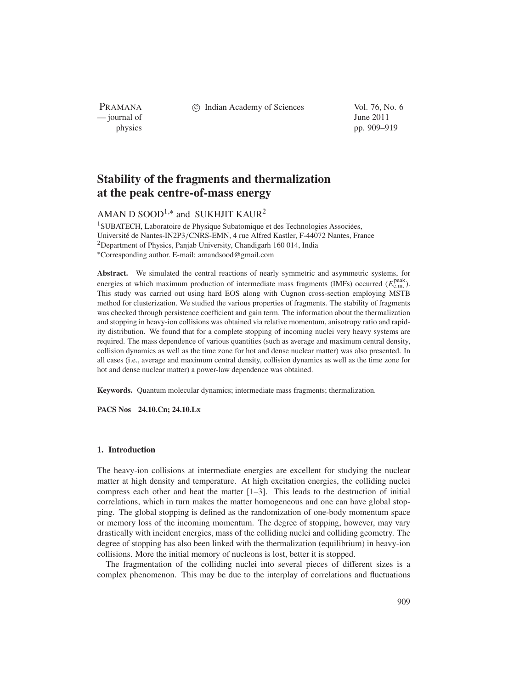PRAMANA — journal of June 2011

c Indian Academy of Sciences Vol. 76, No. 6

physics pp. 909–919

# **Stability of the fragments and thermalization at the peak centre-of-mass energy**

## AMAN D SOOD<sup>1,\*</sup> and SUKHJIT KAUR<sup>2</sup>

<sup>1</sup>SUBATECH, Laboratoire de Physique Subatomique et des Technologies Associées, Université de Nantes-IN2P3/CNRS-EMN, 4 rue Alfred Kastler, F-44072 Nantes, France <sup>2</sup>Department of Physics, Panjab University, Chandigarh 160 014, India <sup>∗</sup>Corresponding author. E-mail: amandsood@gmail.com

Abstract. We simulated the central reactions of nearly symmetric and asymmetric systems, for energies at which maximum production of intermediate mass fragments (IMFs) occurred ( $E_{\text{c.m.}}^{\text{peak}}$ ). This study was carried out using hard EOS along with Cugnon cross-section employing MSTB method for clusterization. We studied the various properties of fragments. The stability of fragments was checked through persistence coefficient and gain term. The information about the thermalization and stopping in heavy-ion collisions was obtained via relative momentum, anisotropy ratio and rapidity distribution. We found that for a complete stopping of incoming nuclei very heavy systems are required. The mass dependence of various quantities (such as average and maximum central density, collision dynamics as well as the time zone for hot and dense nuclear matter) was also presented. In all cases (i.e., average and maximum central density, collision dynamics as well as the time zone for hot and dense nuclear matter) a power-law dependence was obtained.

**Keywords.** Quantum molecular dynamics; intermediate mass fragments; thermalization.

**PACS Nos 24.10.Cn; 24.10.Lx**

## **1. Introduction**

The heavy-ion collisions at intermediate energies are excellent for studying the nuclear matter at high density and temperature. At high excitation energies, the colliding nuclei compress each other and heat the matter [1–3]. This leads to the destruction of initial correlations, which in turn makes the matter homogeneous and one can have global stopping. The global stopping is defined as the randomization of one-body momentum space or memory loss of the incoming momentum. The degree of stopping, however, may vary drastically with incident energies, mass of the colliding nuclei and colliding geometry. The degree of stopping has also been linked with the thermalization (equilibrium) in heavy-ion collisions. More the initial memory of nucleons is lost, better it is stopped.

The fragmentation of the colliding nuclei into several pieces of different sizes is a complex phenomenon. This may be due to the interplay of correlations and fluctuations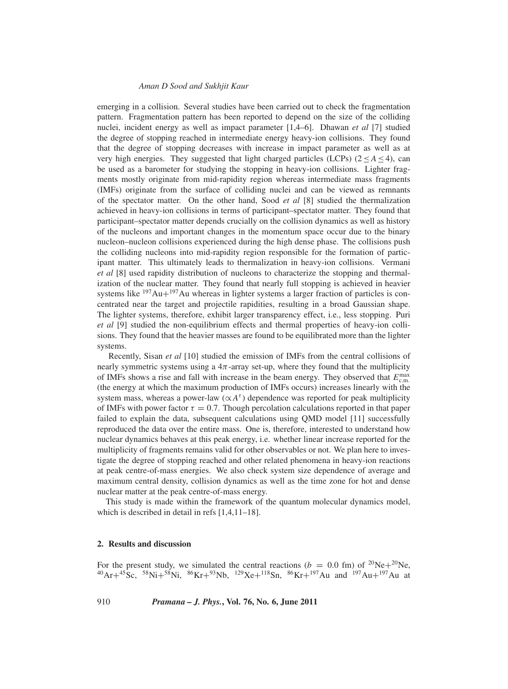emerging in a collision. Several studies have been carried out to check the fragmentation pattern. Fragmentation pattern has been reported to depend on the size of the colliding nuclei, incident energy as well as impact parameter [1,4–6]. Dhawan *et al* [7] studied the degree of stopping reached in intermediate energy heavy-ion collisions. They found that the degree of stopping decreases with increase in impact parameter as well as at very high energies. They suggested that light charged particles (LCPs) ( $2 \leq A \leq 4$ ), can be used as a barometer for studying the stopping in heavy-ion collisions. Lighter fragments mostly originate from mid-rapidity region whereas intermediate mass fragments (IMFs) originate from the surface of colliding nuclei and can be viewed as remnants of the spectator matter. On the other hand, Sood *et al* [8] studied the thermalization achieved in heavy-ion collisions in terms of participant–spectator matter. They found that participant–spectator matter depends crucially on the collision dynamics as well as history of the nucleons and important changes in the momentum space occur due to the binary nucleon–nucleon collisions experienced during the high dense phase. The collisions push the colliding nucleons into mid-rapidity region responsible for the formation of participant matter. This ultimately leads to thermalization in heavy-ion collisions. Vermani *et al* [8] used rapidity distribution of nucleons to characterize the stopping and thermalization of the nuclear matter. They found that nearly full stopping is achieved in heavier systems like  $197Au+197Au$  whereas in lighter systems a larger fraction of particles is concentrated near the target and projectile rapidities, resulting in a broad Gaussian shape. The lighter systems, therefore, exhibit larger transparency effect, i.e., less stopping. Puri *et al* [9] studied the non-equilibrium effects and thermal properties of heavy-ion collisions. They found that the heavier masses are found to be equilibrated more than the lighter systems.

Recently, Sisan *et al* [10] studied the emission of IMFs from the central collisions of nearly symmetric systems using a  $4\pi$ -array set-up, where they found that the multiplicity of IMFs shows a rise and fall with increase in the beam energy. They observed that  $E_{\text{c.m.}}^{\text{max}}$ (the energy at which the maximum production of IMFs occurs) increases linearly with the system mass, whereas a power-law ( $\alpha A^{\tau}$ ) dependence was reported for peak multiplicity of IMFs with power factor  $\tau = 0.7$ . Though percolation calculations reported in that paper failed to explain the data, subsequent calculations using QMD model [11] successfully reproduced the data over the entire mass. One is, therefore, interested to understand how nuclear dynamics behaves at this peak energy, i.e. whether linear increase reported for the multiplicity of fragments remains valid for other observables or not. We plan here to investigate the degree of stopping reached and other related phenomena in heavy-ion reactions at peak centre-of-mass energies. We also check system size dependence of average and maximum central density, collision dynamics as well as the time zone for hot and dense nuclear matter at the peak centre-of-mass energy.

This study is made within the framework of the quantum molecular dynamics model, which is described in detail in refs [1,4,11–18].

## **2. Results and discussion**

For the present study, we simulated the central reactions ( $b = 0.0$  fm) of <sup>20</sup>Ne+<sup>20</sup>Ne,  $^{40}Ar+^{45}Sc$ ,  $^{58}Ni+^{58}Ni$ ,  $^{86}Kr+^{93}Nb$ ,  $^{129}Xe+^{118}Sn$ ,  $^{86}Kr+^{197}Au$  and  $^{197}Au+^{197}Au$  at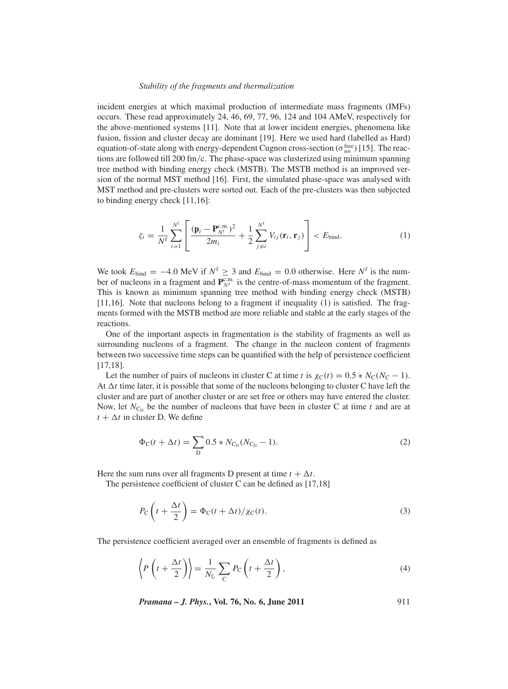#### *Stability of the fragments and thermalization*

incident energies at which maximal production of intermediate mass fragments (IMFs) occurs. These read approximately 24, 46, 69, 77, 96, 124 and 104 AMeV, respectively for the above-mentioned systems [11]. Note that at lower incident energies, phenomena like fusion, fission and cluster decay are dominant [19]. Here we used hard (labelled as Hard) equation-of-state along with energy-dependent Cugnon cross-section ( $\sigma_{nn}^{\text{free}}$ ) [15]. The reactions are followed till 200 fm/c. The phase-space was clusterized using minimum spanning tree method with binding energy check (MSTB). The MSTB method is an improved version of the normal MST method [16]. First, the simulated phase-space was analysed with MST method and pre-clusters were sorted out. Each of the pre-clusters was then subjected to binding energy check [11,16]:

$$
\zeta_i = \frac{1}{N^{\text{f}}} \sum_{i=1}^{N^{\text{f}}} \left[ \frac{(\mathbf{p}_i - \mathbf{P}_{N^{\text{f}}}^{\text{c.m.}})^2}{2m_i} + \frac{1}{2} \sum_{j \neq i}^{N^{\text{f}}} V_{ij}(\mathbf{r}_i, \mathbf{r}_j) \right] < E_{\text{bind}}.
$$
\n(1)

We took  $E_{\text{bind}} = -4.0 \text{ MeV}$  if  $N^f \geq 3$  and  $E_{\text{bind}} = 0.0$  otherwise. Here  $N^f$  is the number of nucleons in a fragment and  $\mathbf{P}_{N^f}^{\text{c.m.}}$  is the centre-of-mass momentum of the fragment. This is known as minimum spanning tree method with binding energy check (MSTB) [11,16]. Note that nucleons belong to a fragment if inequality (1) is satisfied. The fragments formed with the MSTB method are more reliable and stable at the early stages of the reactions.

One of the important aspects in fragmentation is the stability of fragments as well as surrounding nucleons of a fragment. The change in the nucleon content of fragments between two successive time steps can be quantified with the help of persistence coefficient [17,18].

Let the number of pairs of nucleons in cluster C at time *t* is  $\chi_{\rm C}(t) = 0.5 * N_{\rm C}(N_{\rm C} - 1)$ . At  $\Delta t$  time later, it is possible that some of the nucleons belonging to cluster C have left the cluster and are part of another cluster or are set free or others may have entered the cluster. Now, let  $N_{\text{C}_{\text{D}}}$  be the number of nucleons that have been in cluster C at time *t* and are at  $t + \Delta t$  in cluster D. We define

$$
\Phi_{\rm C}(t + \Delta t) = \sum_{\rm D} 0.5 * N_{\rm C_D}(N_{\rm C_D} - 1). \tag{2}
$$

Here the sum runs over all fragments D present at time  $t + \Delta t$ .

The persistence coefficient of cluster C can be defined as [17,18]

$$
P_{\rm C}\left(t+\frac{\Delta t}{2}\right) = \Phi_{\rm C}(t+\Delta t)/\chi_{\rm C}(t). \tag{3}
$$

The persistence coefficient averaged over an ensemble of fragments is defined as

$$
\left\langle P\left(t+\frac{\Delta t}{2}\right)\right\rangle = \frac{1}{N_{\rm f_r}}\sum_{\rm C}P_{\rm C}\left(t+\frac{\Delta t}{2}\right),\tag{4}
$$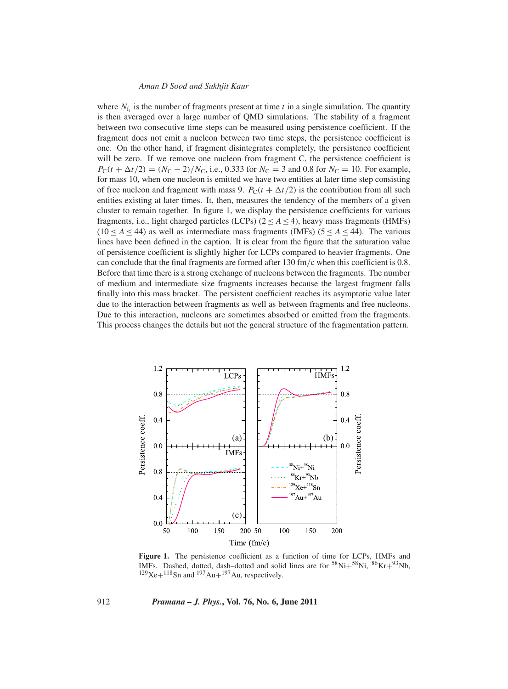where  $N_f$  is the number of fragments present at time *t* in a single simulation. The quantity is then averaged over a large number of QMD simulations. The stability of a fragment between two consecutive time steps can be measured using persistence coefficient. If the fragment does not emit a nucleon between two time steps, the persistence coefficient is one. On the other hand, if fragment disintegrates completely, the persistence coefficient will be zero. If we remove one nucleon from fragment C, the persistence coefficient is  $P_{\rm C}(t + \Delta t/2) = (N_{\rm C} - 2)/N_{\rm C}$ , i.e., 0.333 for  $N_{\rm C} = 3$  and 0.8 for  $N_{\rm C} = 10$ . For example, for mass 10, when one nucleon is emitted we have two entities at later time step consisting of free nucleon and fragment with mass 9.  $P_C(t + \Delta t/2)$  is the contribution from all such entities existing at later times. It, then, measures the tendency of the members of a given cluster to remain together. In figure 1, we display the persistence coefficients for various fragments, i.e., light charged particles (LCPs)  $(2 < A < 4)$ , heavy mass fragments (HMFs)  $(10 < A < 44)$  as well as intermediate mass fragments (IMFs)  $(5 < A < 44)$ . The various lines have been defined in the caption. It is clear from the figure that the saturation value of persistence coefficient is slightly higher for LCPs compared to heavier fragments. One can conclude that the final fragments are formed after 130 fm/c when this coefficient is 0.8. Before that time there is a strong exchange of nucleons between the fragments. The number of medium and intermediate size fragments increases because the largest fragment falls finally into this mass bracket. The persistent coefficient reaches its asymptotic value later due to the interaction between fragments as well as between fragments and free nucleons. Due to this interaction, nucleons are sometimes absorbed or emitted from the fragments. This process changes the details but not the general structure of the fragmentation pattern.



**Figure 1.** The persistence coefficient as a function of time for LCPs, HMFs and IMFs. Dashed, dotted, dash-dotted and solid lines are for  $58Ni + 58Ni$ ,  $86Kr + 93Nb$ ,  $129$ Xe+ $118$ Sn and  $197$ Au+ $197$ Au, respectively.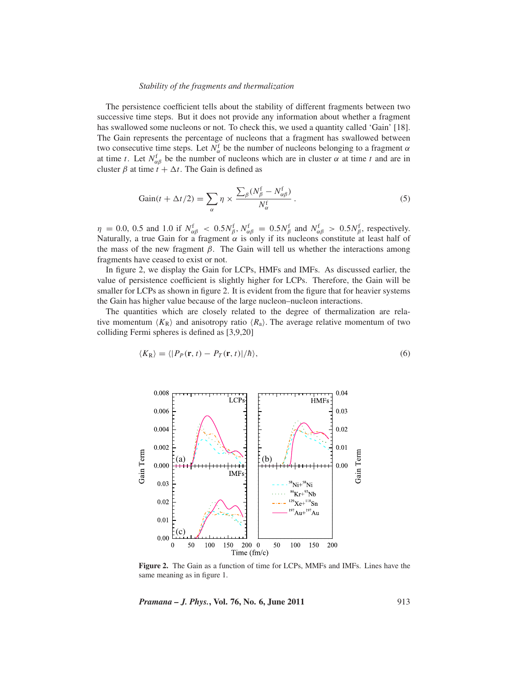#### *Stability of the fragments and thermalization*

The persistence coefficient tells about the stability of different fragments between two successive time steps. But it does not provide any information about whether a fragment has swallowed some nucleons or not. To check this, we used a quantity called 'Gain' [18]. The Gain represents the percentage of nucleons that a fragment has swallowed between two consecutive time steps. Let  $N^f_{\alpha}$  be the number of nucleons belonging to a fragment  $\alpha$ at time *t*. Let  $N_{\alpha\beta}^f$  be the number of nucleons which are in cluster  $\alpha$  at time *t* and are in cluster  $\beta$  at time  $t + \Delta t$ . The Gain is defined as

$$
Gain(t + \Delta t/2) = \sum_{\alpha} \eta \times \frac{\sum_{\beta} (N_{\beta}^{f} - N_{\alpha\beta}^{f})}{N_{\alpha}^{f}}.
$$
 (5)

 $\eta = 0.0$ , 0.5 and 1.0 if  $N_{\alpha\beta}^f$  <  $0.5N_{\beta}^f$ ,  $N_{\alpha\beta}^f = 0.5N_{\beta}^f$  and  $N_{\alpha\beta}^f > 0.5N_{\beta}^f$ , respectively. Naturally, a true Gain for a fragment  $\alpha$  is only if its nucleons constitute at least half of the mass of the new fragment  $\beta$ . The Gain will tell us whether the interactions among fragments have ceased to exist or not.

In figure 2, we display the Gain for LCPs, HMFs and IMFs. As discussed earlier, the value of persistence coefficient is slightly higher for LCPs. Therefore, the Gain will be smaller for LCPs as shown in figure 2. It is evident from the figure that for heavier systems the Gain has higher value because of the large nucleon–nucleon interactions.

The quantities which are closely related to the degree of thermalization are relative momentum  $\langle K_{\rm R} \rangle$  and anisotropy ratio  $\langle R_{\rm a} \rangle$ . The average relative momentum of two colliding Fermi spheres is defined as [3,9,20]

$$
\langle K_{\mathcal{R}} \rangle = \langle | P_P(\mathbf{r}, t) - P_T(\mathbf{r}, t) | / \hbar \rangle, \tag{6}
$$



**Figure 2.** The Gain as a function of time for LCPs, MMFs and IMFs. Lines have the same meaning as in figure 1.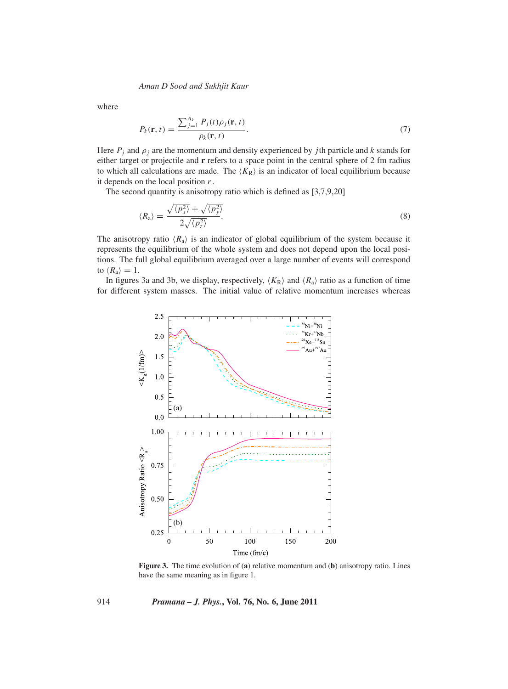where

$$
P_k(\mathbf{r}, t) = \frac{\sum_{j=1}^{A_k} P_j(t)\rho_j(\mathbf{r}, t)}{\rho_k(\mathbf{r}, t)}.
$$
\n(7)

Here  $P_j$  and  $\rho_j$  are the momentum and density experienced by *j*th particle and *k* stands for either target or projectile and **r** refers to a space point in the central sphere of 2 fm radius to which all calculations are made. The  $\langle K_{\rm R} \rangle$  is an indicator of local equilibrium because it depends on the local position *r*.

The second quantity is anisotropy ratio which is defined as [3,7,9,20]

$$
\langle R_{\rm a} \rangle = \frac{\sqrt{\langle p_x^2 \rangle} + \sqrt{\langle p_y^2 \rangle}}{2\sqrt{\langle p_z^2 \rangle}}.
$$
\n(8)

The anisotropy ratio  $\langle R_a \rangle$  is an indicator of global equilibrium of the system because it represents the equilibrium of the whole system and does not depend upon the local positions. The full global equilibrium averaged over a large number of events will correspond to  $\langle R_{\rm a} \rangle = 1$ .

In figures 3a and 3b, we display, respectively,  $\langle K_R \rangle$  and  $\langle R_a \rangle$  ratio as a function of time for different system masses. The initial value of relative momentum increases whereas



**Figure 3.** The time evolution of (**a**) relative momentum and (**b**) anisotropy ratio. Lines have the same meaning as in figure 1.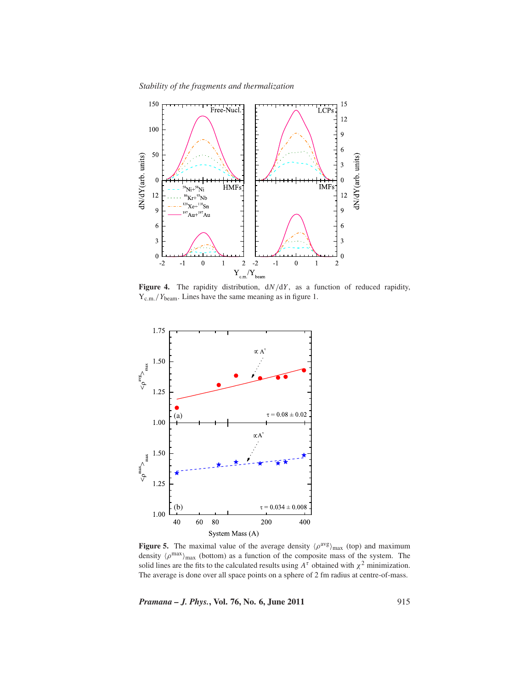*Stability of the fragments and thermalization*



**Figure 4.** The rapidity distribution, d*N*/d*Y* , as a function of reduced rapidity, Y<sub>c.m.</sub>/*Y*<sub>beam</sub>. Lines have the same meaning as in figure 1.



**Figure 5.** The maximal value of the average density  $\langle \rho^{avg} \rangle_{max}$  (top) and maximum density  $\langle \rho^{max} \rangle_{max}$  (bottom) as a function of the composite mass of the system. The solid lines are the fits to the calculated results using  $A^{\tau}$  obtained with  $\chi^2$  minimization. The average is done over all space points on a sphere of 2 fm radius at centre-of-mass.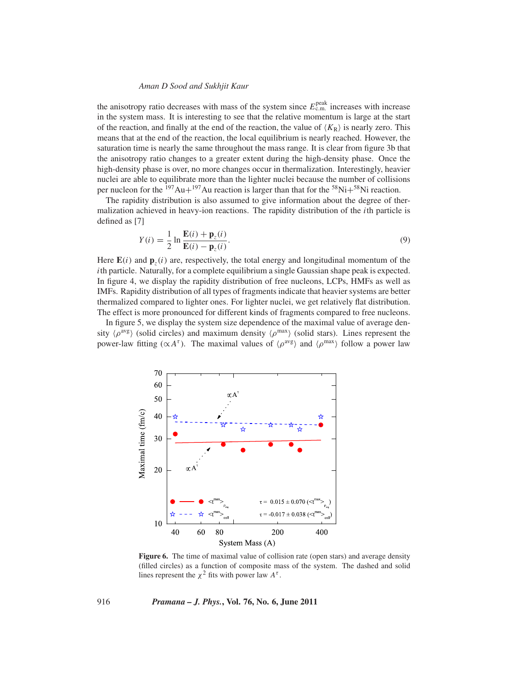the anisotropy ratio decreases with mass of the system since  $E_{c.m.}^{\text{peak}}$  increases with increase in the system mass. It is interesting to see that the relative momentum is large at the start of the reaction, and finally at the end of the reaction, the value of  $\langle K_R \rangle$  is nearly zero. This means that at the end of the reaction, the local equilibrium is nearly reached. However, the saturation time is nearly the same throughout the mass range. It is clear from figure 3b that the anisotropy ratio changes to a greater extent during the high-density phase. Once the high-density phase is over, no more changes occur in thermalization. Interestingly, heavier nuclei are able to equilibrate more than the lighter nuclei because the number of collisions per nucleon for the  $^{197}Au+^{197}Au$  reaction is larger than that for the  $^{58}Ni+^{58}Ni$  reaction.

The rapidity distribution is also assumed to give information about the degree of thermalization achieved in heavy-ion reactions. The rapidity distribution of the *i*th particle is defined as [7]

$$
Y(i) = \frac{1}{2} \ln \frac{\mathbf{E}(i) + \mathbf{p}_z(i)}{\mathbf{E}(i) - \mathbf{p}_z(i)}.
$$
\n(9)

Here  $\mathbf{E}(i)$  and  $\mathbf{p}_z(i)$  are, respectively, the total energy and longitudinal momentum of the *i*th particle. Naturally, for a complete equilibrium a single Gaussian shape peak is expected. In figure 4, we display the rapidity distribution of free nucleons, LCPs, HMFs as well as IMFs. Rapidity distribution of all types of fragments indicate that heavier systems are better thermalized compared to lighter ones. For lighter nuclei, we get relatively flat distribution. The effect is more pronounced for different kinds of fragments compared to free nucleons.

In figure 5, we display the system size dependence of the maximal value of average density  $\langle \rho^{avg} \rangle$  (solid circles) and maximum density  $\langle \rho^{max} \rangle$  (solid stars). Lines represent the power-law fitting ( $\propto A^{\tau}$ ). The maximal values of  $\langle \rho^{avg} \rangle$  and  $\langle \rho^{max} \rangle$  follow a power law



Figure 6. The time of maximal value of collision rate (open stars) and average density (filled circles) as a function of composite mass of the system. The dashed and solid lines represent the  $\chi^2$  fits with power law  $A^{\tau}$ .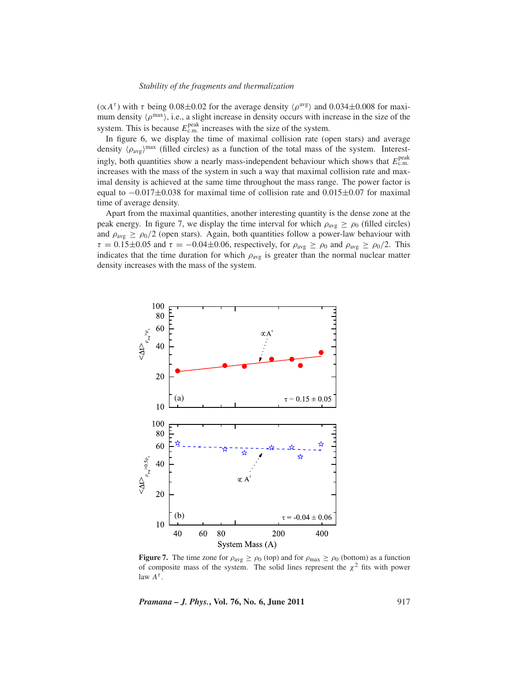#### *Stability of the fragments and thermalization*

 $(\alpha A^{\tau})$  with τ being 0.08±0.02 for the average density  $\langle \rho^{avg} \rangle$  and 0.034±0.008 for maximum density  $\langle \rho^{max} \rangle$ , i.e., a slight increase in density occurs with increase in the size of the system. This is because  $E_{\text{c.m.}}^{\text{peak}}$  increases with the size of the system.

In figure 6, we display the time of maximal collision rate (open stars) and average density  $(\rho_{avg})^{\text{max}}$  (filled circles) as a function of the total mass of the system. Interestingly, both quantities show a nearly mass-independent behaviour which shows that  $E_{\text{c.m.}}^{\text{peak}}$ increases with the mass of the system in such a way that maximal collision rate and maximal density is achieved at the same time throughout the mass range. The power factor is equal to  $-0.017\pm0.038$  for maximal time of collision rate and  $0.015\pm0.07$  for maximal time of average density.

Apart from the maximal quantities, another interesting quantity is the dense zone at the peak energy. In figure 7, we display the time interval for which  $\rho_{avg} \ge \rho_0$  (filled circles) and  $\rho_{avg} \ge \rho_0/2$  (open stars). Again, both quantities follow a power-law behaviour with  $\tau = 0.15 \pm 0.05$  and  $\tau = -0.04 \pm 0.06$ , respectively, for  $\rho_{avg} \ge \rho_0$  and  $\rho_{avg} \ge \rho_0/2$ . This indicates that the time duration for which  $\rho_{avg}$  is greater than the normal nuclear matter density increases with the mass of the system.



**Figure 7.** The time zone for  $\rho_{avg} \ge \rho_0$  (top) and for  $\rho_{max} \ge \rho_0$  (bottom) as a function of composite mass of the system. The solid lines represent the  $\chi^2$  fits with power law  $A^{\tau}$ .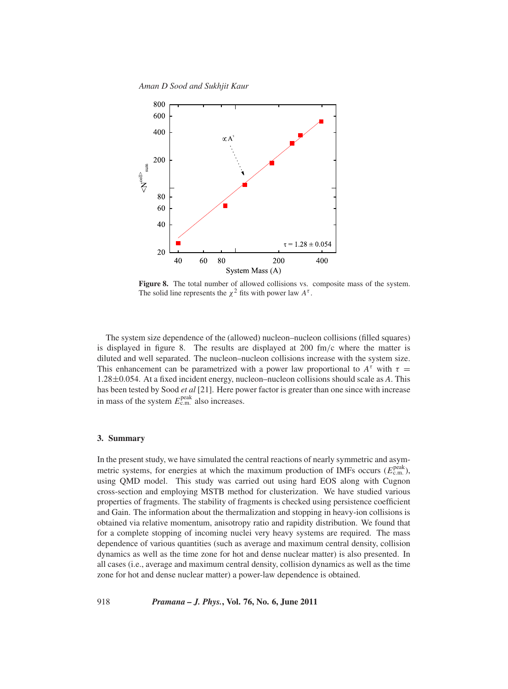*Aman D Sood and Sukhjit Kaur*



**Figure 8.** The total number of allowed collisions vs. composite mass of the system. The solid line represents the  $\chi^2$  fits with power law  $A^{\tau}$ .

The system size dependence of the (allowed) nucleon–nucleon collisions (filled squares) is displayed in figure 8. The results are displayed at 200 fm/c where the matter is diluted and well separated. The nucleon–nucleon collisions increase with the system size. This enhancement can be parametrized with a power law proportional to  $A^{\tau}$  with  $\tau =$ 1.28±0.054. At a fixed incident energy, nucleon–nucleon collisions should scale as *A*. This has been tested by Sood *et al* [21]. Here power factor is greater than one since with increase in mass of the system  $E_{\text{c.m.}}^{\text{peak}}$  also increases.

## **3. Summary**

In the present study, we have simulated the central reactions of nearly symmetric and asymmetric systems, for energies at which the maximum production of IMFs occurs  $(E_{\text{c.m.}}^{\text{peak}})$ , using QMD model. This study was carried out using hard EOS along with Cugnon cross-section and employing MSTB method for clusterization. We have studied various properties of fragments. The stability of fragments is checked using persistence coefficient and Gain. The information about the thermalization and stopping in heavy-ion collisions is obtained via relative momentum, anisotropy ratio and rapidity distribution. We found that for a complete stopping of incoming nuclei very heavy systems are required. The mass dependence of various quantities (such as average and maximum central density, collision dynamics as well as the time zone for hot and dense nuclear matter) is also presented. In all cases (i.e., average and maximum central density, collision dynamics as well as the time zone for hot and dense nuclear matter) a power-law dependence is obtained.